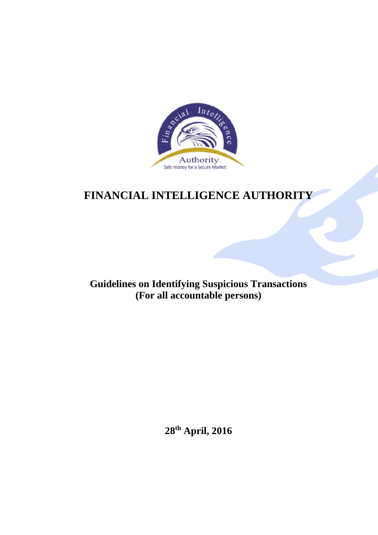

# **FINANCIAL INTELLIGENCE AUTHORITY**

**Guidelines on Identifying Suspicious Transactions (For all accountable persons)**

**28th April, 2016**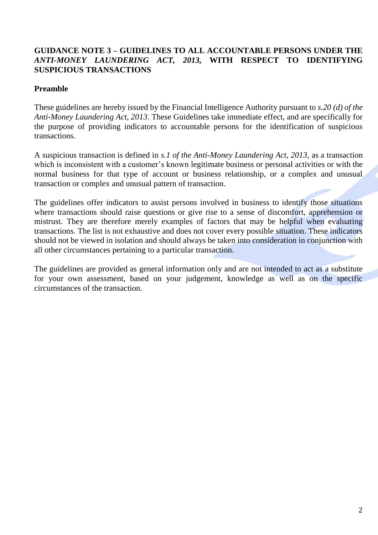## **GUIDANCE NOTE 3 – GUIDELINES TO ALL ACCOUNTABLE PERSONS UNDER THE**  *ANTI-MONEY LAUNDERING ACT, 2013,* **WITH RESPECT TO IDENTIFYING SUSPICIOUS TRANSACTIONS**

## **Preamble**

These guidelines are hereby issued by the Financial Intelligence Authority pursuant to *s.20 (d) of the Anti-Money Laundering Act, 2013*. These Guidelines take immediate effect, and are specifically for the purpose of providing indicators to accountable persons for the identification of suspicious transactions.

A suspicious transaction is defined in *s.1 of the Anti-Money Laundering Act, 2013,* as a transaction which is inconsistent with a customer's known legitimate business or personal activities or with the normal business for that type of account or business relationship, or a complex and unusual transaction or complex and unusual pattern of transaction.

The guidelines offer indicators to assist persons involved in business to identify those situations where transactions should raise questions or give rise to a sense of discomfort, apprehension or mistrust. They are therefore merely examples of factors that may be helpful when evaluating transactions. The list is not exhaustive and does not cover every possible situation. These indicators should not be viewed in isolation and should always be taken into consideration in conjunction with all other circumstances pertaining to a particular transaction.

The guidelines are provided as general information only and are not intended to act as a substitute for your own assessment, based on your judgement, knowledge as well as on the specific circumstances of the transaction.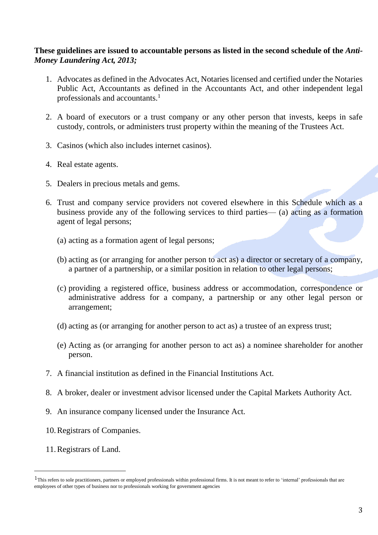## **These guidelines are issued to accountable persons as listed in the second schedule of the** *Anti-Money Laundering Act, 2013;*

- 1. Advocates as defined in the Advocates Act, Notaries licensed and certified under the Notaries Public Act, Accountants as defined in the Accountants Act, and other independent legal professionals and accountants. 1
- 2. A board of executors or a trust company or any other person that invests, keeps in safe custody, controls, or administers trust property within the meaning of the Trustees Act.
- 3. Casinos (which also includes internet casinos).
- 4. Real estate agents.
- 5. Dealers in precious metals and gems.
- 6. Trust and company service providers not covered elsewhere in this Schedule which as a business provide any of the following services to third parties— (a) acting as a formation agent of legal persons;
	- (a) acting as a formation agent of legal persons;
	- (b) acting as (or arranging for another person to act as) a director or secretary of a company, a partner of a partnership, or a similar position in relation to other legal persons;
	- (c) providing a registered office, business address or accommodation, correspondence or administrative address for a company, a partnership or any other legal person or arrangement;
	- (d) acting as (or arranging for another person to act as) a trustee of an express trust;
	- (e) Acting as (or arranging for another person to act as) a nominee shareholder for another person.
- 7. A financial institution as defined in the Financial Institutions Act.
- 8. A broker, dealer or investment advisor licensed under the Capital Markets Authority Act.
- 9. An insurance company licensed under the Insurance Act.
- 10.Registrars of Companies.
- 11.Registrars of Land.

<u>.</u>

 $1$ This refers to sole practitioners, partners or employed professionals within professional firms. It is not meant to refer to 'internal' professionals that are employees of other types of business nor to professionals working for government agencies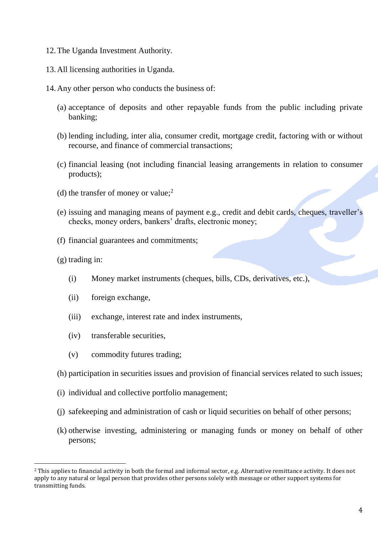- 12.The Uganda Investment Authority.
- 13.All licensing authorities in Uganda.
- 14.Any other person who conducts the business of:
	- (a) acceptance of deposits and other repayable funds from the public including private banking;
	- (b) lending including, inter alia, consumer credit, mortgage credit, factoring with or without recourse, and finance of commercial transactions;
	- (c) financial leasing (not including financial leasing arrangements in relation to consumer products);
	- (d) the transfer of money or value; 2
	- (e) issuing and managing means of payment e.g., credit and debit cards, cheques, traveller's checks, money orders, bankers' drafts, electronic money;
	- (f) financial guarantees and commitments;
	- (g) trading in:

<u>.</u>

- (i) Money market instruments (cheques, bills, CDs, derivatives, etc.),
- (ii) foreign exchange,
- (iii) exchange, interest rate and index instruments,
- (iv) transferable securities,
- (v) commodity futures trading;
- (h) participation in securities issues and provision of financial services related to such issues;
- (i) individual and collective portfolio management;
- (j) safekeeping and administration of cash or liquid securities on behalf of other persons;
- (k) otherwise investing, administering or managing funds or money on behalf of other persons;

<sup>2</sup> This applies to financial activity in both the formal and informal sector, e.g. Alternative remittance activity. It does not apply to any natural or legal person that provides other persons solely with message or other support systems for transmitting funds.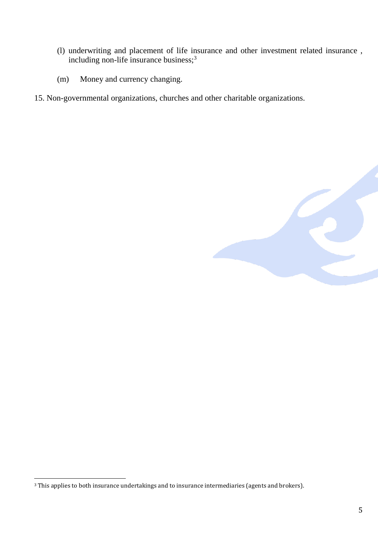- (l) underwriting and placement of life insurance and other investment related insurance , including non-life insurance business;<sup>3</sup>
- (m) Money and currency changing.
- 15. Non-governmental organizations, churches and other charitable organizations.



<u>.</u>

<sup>&</sup>lt;sup>3</sup> This applies to both insurance undertakings and to insurance intermediaries (agents and brokers).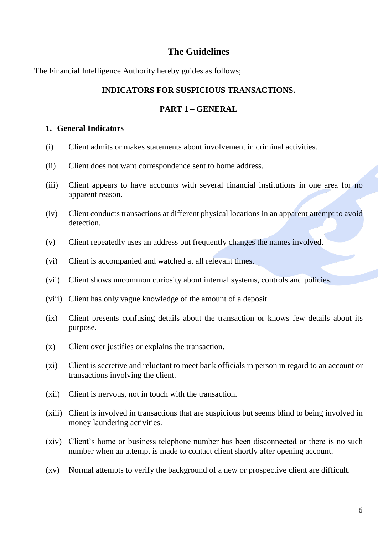# **The Guidelines**

The Financial Intelligence Authority hereby guides as follows;

## **INDICATORS FOR SUSPICIOUS TRANSACTIONS.**

## **PART 1 – GENERAL**

#### **1. General Indicators**

- (i) Client admits or makes statements about involvement in criminal activities.
- (ii) Client does not want correspondence sent to home address.
- (iii) Client appears to have accounts with several financial institutions in one area for no apparent reason.
- (iv) Client conducts transactions at different physical locations in an apparent attempt to avoid detection.
- (v) Client repeatedly uses an address but frequently changes the names involved.
- (vi) Client is accompanied and watched at all relevant times.
- (vii) Client shows uncommon curiosity about internal systems, controls and policies.
- (viii) Client has only vague knowledge of the amount of a deposit.
- (ix) Client presents confusing details about the transaction or knows few details about its purpose.
- (x) Client over justifies or explains the transaction.
- (xi) Client is secretive and reluctant to meet bank officials in person in regard to an account or transactions involving the client.
- (xii) Client is nervous, not in touch with the transaction.
- (xiii) Client is involved in transactions that are suspicious but seems blind to being involved in money laundering activities.
- (xiv) Client's home or business telephone number has been disconnected or there is no such number when an attempt is made to contact client shortly after opening account.
- (xv) Normal attempts to verify the background of a new or prospective client are difficult.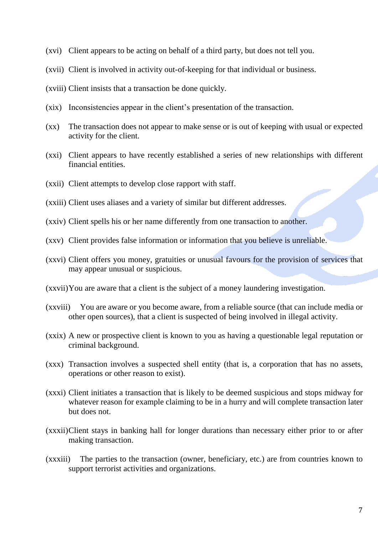- (xvi) Client appears to be acting on behalf of a third party, but does not tell you.
- (xvii) Client is involved in activity out-of-keeping for that individual or business.
- (xviii) Client insists that a transaction be done quickly.
- (xix) Inconsistencies appear in the client's presentation of the transaction.
- (xx) The transaction does not appear to make sense or is out of keeping with usual or expected activity for the client.
- (xxi) Client appears to have recently established a series of new relationships with different financial entities.
- (xxii) Client attempts to develop close rapport with staff.
- (xxiii) Client uses aliases and a variety of similar but different addresses.
- (xxiv) Client spells his or her name differently from one transaction to another.
- (xxv) Client provides false information or information that you believe is unreliable.
- (xxvi) Client offers you money, gratuities or unusual favours for the provision of services that may appear unusual or suspicious.
- (xxvii)You are aware that a client is the subject of a money laundering investigation.
- (xxviii) You are aware or you become aware, from a reliable source (that can include media or other open sources), that a client is suspected of being involved in illegal activity.
- (xxix) A new or prospective client is known to you as having a questionable legal reputation or criminal background.
- (xxx) Transaction involves a suspected shell entity (that is, a corporation that has no assets, operations or other reason to exist).
- (xxxi) Client initiates a transaction that is likely to be deemed suspicious and stops midway for whatever reason for example claiming to be in a hurry and will complete transaction later but does not.
- (xxxii)Client stays in banking hall for longer durations than necessary either prior to or after making transaction.
- (xxxiii) The parties to the transaction (owner, beneficiary, etc.) are from countries known to support terrorist activities and organizations.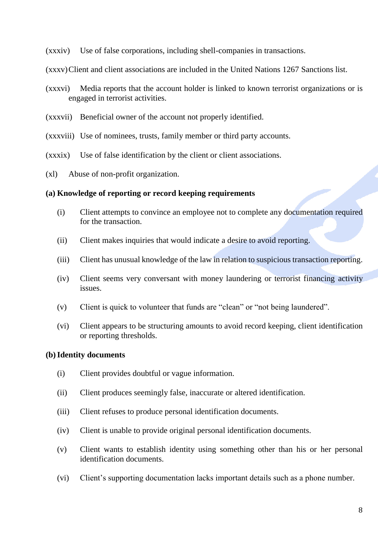(xxxiv) Use of false corporations, including shell-companies in transactions.

(xxxv)Client and client associations are included in the United Nations 1267 Sanctions list.

- (xxxvi) Media reports that the account holder is linked to known terrorist organizations or is engaged in terrorist activities.
- (xxxvii) Beneficial owner of the account not properly identified.
- (xxxviii) Use of nominees, trusts, family member or third party accounts.
- (xxxix) Use of false identification by the client or client associations.
- (xl) Abuse of non-profit organization.

## **(a) Knowledge of reporting or record keeping requirements**

- (i) Client attempts to convince an employee not to complete any documentation required for the transaction.
- (ii) Client makes inquiries that would indicate a desire to avoid reporting.
- (iii) Client has unusual knowledge of the law in relation to suspicious transaction reporting.
- (iv) Client seems very conversant with money laundering or terrorist financing activity issues.
- (v) Client is quick to volunteer that funds are "clean" or "not being laundered".
- (vi) Client appears to be structuring amounts to avoid record keeping, client identification or reporting thresholds.

# **(b)Identity documents**

- (i) Client provides doubtful or vague information.
- (ii) Client produces seemingly false, inaccurate or altered identification.
- (iii) Client refuses to produce personal identification documents.
- (iv) Client is unable to provide original personal identification documents.
- (v) Client wants to establish identity using something other than his or her personal identification documents.
- (vi) Client's supporting documentation lacks important details such as a phone number.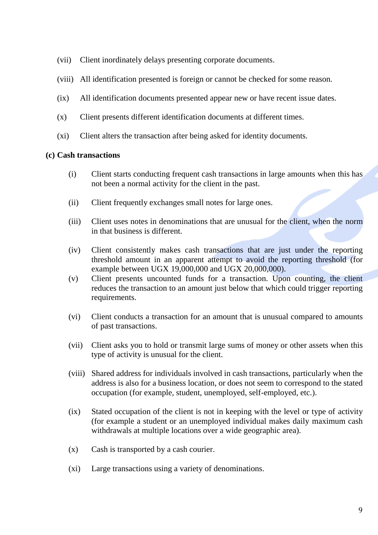- (vii) Client inordinately delays presenting corporate documents.
- (viii) All identification presented is foreign or cannot be checked for some reason.
- (ix) All identification documents presented appear new or have recent issue dates.
- (x) Client presents different identification documents at different times.
- (xi) Client alters the transaction after being asked for identity documents.

## **(c) Cash transactions**

- (i) Client starts conducting frequent cash transactions in large amounts when this has not been a normal activity for the client in the past.
- (ii) Client frequently exchanges small notes for large ones.
- (iii) Client uses notes in denominations that are unusual for the client, when the norm in that business is different.
- (iv) Client consistently makes cash transactions that are just under the reporting threshold amount in an apparent attempt to avoid the reporting threshold (for example between UGX 19,000,000 and UGX 20,000,000).
- (v) Client presents uncounted funds for a transaction. Upon counting, the client reduces the transaction to an amount just below that which could trigger reporting requirements.
- (vi) Client conducts a transaction for an amount that is unusual compared to amounts of past transactions.
- (vii) Client asks you to hold or transmit large sums of money or other assets when this type of activity is unusual for the client.
- (viii) Shared address for individuals involved in cash transactions, particularly when the address is also for a business location, or does not seem to correspond to the stated occupation (for example, student, unemployed, self-employed, etc.).
- (ix) Stated occupation of the client is not in keeping with the level or type of activity (for example a student or an unemployed individual makes daily maximum cash withdrawals at multiple locations over a wide geographic area).
- (x) Cash is transported by a cash courier.
- (xi) Large transactions using a variety of denominations.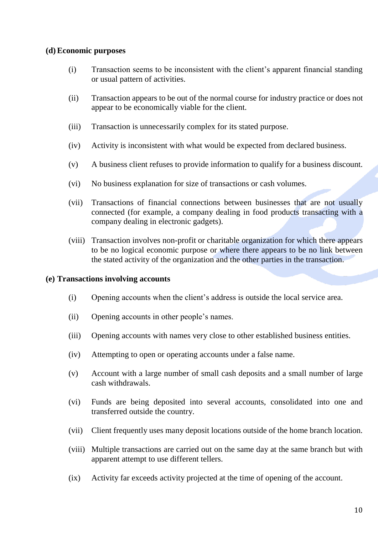## **(d) Economic purposes**

- (i) Transaction seems to be inconsistent with the client's apparent financial standing or usual pattern of activities.
- (ii) Transaction appears to be out of the normal course for industry practice or does not appear to be economically viable for the client.
- (iii) Transaction is unnecessarily complex for its stated purpose.
- (iv) Activity is inconsistent with what would be expected from declared business.
- (v) A business client refuses to provide information to qualify for a business discount.
- (vi) No business explanation for size of transactions or cash volumes.
- (vii) Transactions of financial connections between businesses that are not usually connected (for example, a company dealing in food products transacting with a company dealing in electronic gadgets).
- (viii) Transaction involves non-profit or charitable organization for which there appears to be no logical economic purpose or where there appears to be no link between the stated activity of the organization and the other parties in the transaction.

## **(e) Transactions involving accounts**

- (i) Opening accounts when the client's address is outside the local service area.
- (ii) Opening accounts in other people's names.
- (iii) Opening accounts with names very close to other established business entities.
- (iv) Attempting to open or operating accounts under a false name.
- (v) Account with a large number of small cash deposits and a small number of large cash withdrawals.
- (vi) Funds are being deposited into several accounts, consolidated into one and transferred outside the country.
- (vii) Client frequently uses many deposit locations outside of the home branch location.
- (viii) Multiple transactions are carried out on the same day at the same branch but with apparent attempt to use different tellers.
- (ix) Activity far exceeds activity projected at the time of opening of the account.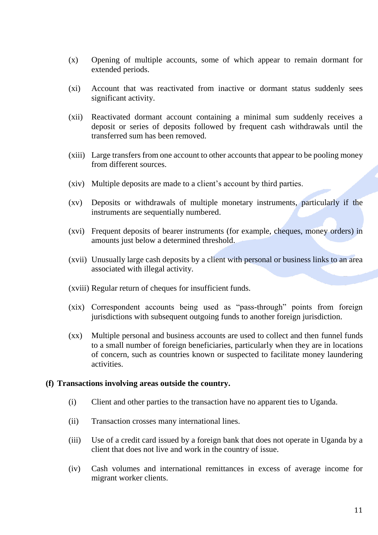- (x) Opening of multiple accounts, some of which appear to remain dormant for extended periods.
- (xi) Account that was reactivated from inactive or dormant status suddenly sees significant activity.
- (xii) Reactivated dormant account containing a minimal sum suddenly receives a deposit or series of deposits followed by frequent cash withdrawals until the transferred sum has been removed.
- (xiii) Large transfers from one account to other accounts that appear to be pooling money from different sources.
- (xiv) Multiple deposits are made to a client's account by third parties.
- (xv) Deposits or withdrawals of multiple monetary instruments, particularly if the instruments are sequentially numbered.
- (xvi) Frequent deposits of bearer instruments (for example, cheques, money orders) in amounts just below a determined threshold.
- (xvii) Unusually large cash deposits by a client with personal or business links to an area associated with illegal activity.
- (xviii) Regular return of cheques for insufficient funds.
- (xix) Correspondent accounts being used as "pass-through" points from foreign jurisdictions with subsequent outgoing funds to another foreign jurisdiction.
- (xx) Multiple personal and business accounts are used to collect and then funnel funds to a small number of foreign beneficiaries, particularly when they are in locations of concern, such as countries known or suspected to facilitate money laundering activities.

## **(f) Transactions involving areas outside the country.**

- (i) Client and other parties to the transaction have no apparent ties to Uganda.
- (ii) Transaction crosses many international lines.
- (iii) Use of a credit card issued by a foreign bank that does not operate in Uganda by a client that does not live and work in the country of issue.
- (iv) Cash volumes and international remittances in excess of average income for migrant worker clients.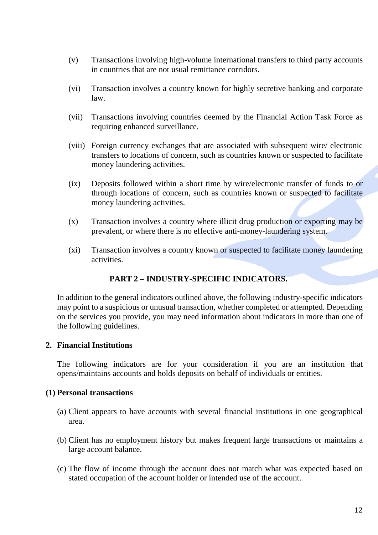- (v) Transactions involving high-volume international transfers to third party accounts in countries that are not usual remittance corridors.
- (vi) Transaction involves a country known for highly secretive banking and corporate law.
- (vii) Transactions involving countries deemed by the Financial Action Task Force as requiring enhanced surveillance.
- (viii) Foreign currency exchanges that are associated with subsequent wire/ electronic transfers to locations of concern, such as countries known or suspected to facilitate money laundering activities.
- (ix) Deposits followed within a short time by wire/electronic transfer of funds to or through locations of concern, such as countries known or suspected to facilitate money laundering activities.
- (x) Transaction involves a country where illicit drug production or exporting may be prevalent, or where there is no effective anti-money-laundering system.
- (xi) Transaction involves a country known or suspected to facilitate money laundering activities.

# **PART 2 – INDUSTRY-SPECIFIC INDICATORS.**

In addition to the general indicators outlined above, the following industry-specific indicators may point to a suspicious or unusual transaction, whether completed or attempted. Depending on the services you provide, you may need information about indicators in more than one of the following guidelines.

## **2. Financial Institutions**

The following indicators are for your consideration if you are an institution that opens/maintains accounts and holds deposits on behalf of individuals or entities.

## **(1) Personal transactions**

- (a) Client appears to have accounts with several financial institutions in one geographical area.
- (b) Client has no employment history but makes frequent large transactions or maintains a large account balance.
- (c) The flow of income through the account does not match what was expected based on stated occupation of the account holder or intended use of the account.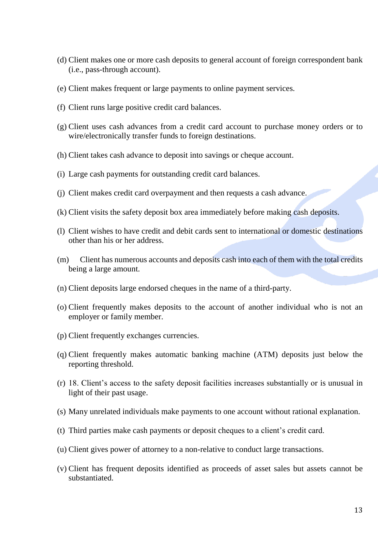- (d) Client makes one or more cash deposits to general account of foreign correspondent bank (i.e., pass-through account).
- (e) Client makes frequent or large payments to online payment services.
- (f) Client runs large positive credit card balances.
- (g) Client uses cash advances from a credit card account to purchase money orders or to wire/electronically transfer funds to foreign destinations.
- (h) Client takes cash advance to deposit into savings or cheque account.
- (i) Large cash payments for outstanding credit card balances.
- (j) Client makes credit card overpayment and then requests a cash advance.
- (k) Client visits the safety deposit box area immediately before making cash deposits.
- (l) Client wishes to have credit and debit cards sent to international or domestic destinations other than his or her address.
- (m) Client has numerous accounts and deposits cash into each of them with the total credits being a large amount.
- (n) Client deposits large endorsed cheques in the name of a third-party.
- (o) Client frequently makes deposits to the account of another individual who is not an employer or family member.
- (p) Client frequently exchanges currencies.
- (q) Client frequently makes automatic banking machine (ATM) deposits just below the reporting threshold.
- (r) 18. Client's access to the safety deposit facilities increases substantially or is unusual in light of their past usage.
- (s) Many unrelated individuals make payments to one account without rational explanation.
- (t) Third parties make cash payments or deposit cheques to a client's credit card.
- (u) Client gives power of attorney to a non-relative to conduct large transactions.
- (v) Client has frequent deposits identified as proceeds of asset sales but assets cannot be substantiated.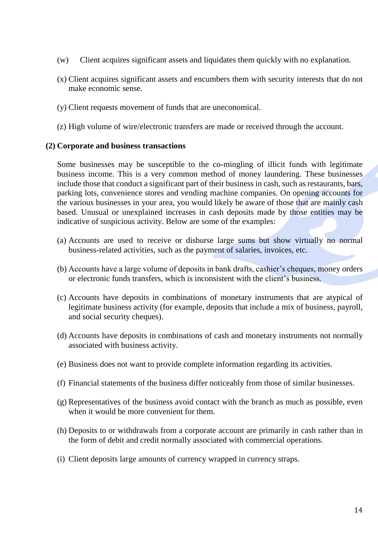- (w) Client acquires significant assets and liquidates them quickly with no explanation.
- (x) Client acquires significant assets and encumbers them with security interests that do not make economic sense.
- (y) Client requests movement of funds that are uneconomical.
- (z) High volume of wire/electronic transfers are made or received through the account.

## **(2) Corporate and business transactions**

Some businesses may be susceptible to the co-mingling of illicit funds with legitimate business income. This is a very common method of money laundering. These businesses include those that conduct a significant part of their business in cash, such as restaurants, bars, parking lots, convenience stores and vending machine companies. On opening accounts for the various businesses in your area, you would likely be aware of those that are mainly cash based. Unusual or unexplained increases in cash deposits made by those entities may be indicative of suspicious activity. Below are some of the examples:

- (a) Accounts are used to receive or disburse large sums but show virtually no normal business-related activities, such as the payment of salaries, invoices, etc.
- (b) Accounts have a large volume of deposits in bank drafts, cashier's cheques, money orders or electronic funds transfers, which is inconsistent with the client's business.
- (c) Accounts have deposits in combinations of monetary instruments that are atypical of legitimate business activity (for example, deposits that include a mix of business, payroll, and social security cheques).
- (d) Accounts have deposits in combinations of cash and monetary instruments not normally associated with business activity.
- (e) Business does not want to provide complete information regarding its activities.
- (f) Financial statements of the business differ noticeably from those of similar businesses.
- (g) Representatives of the business avoid contact with the branch as much as possible, even when it would be more convenient for them.
- (h) Deposits to or withdrawals from a corporate account are primarily in cash rather than in the form of debit and credit normally associated with commercial operations.
- (i) Client deposits large amounts of currency wrapped in currency straps.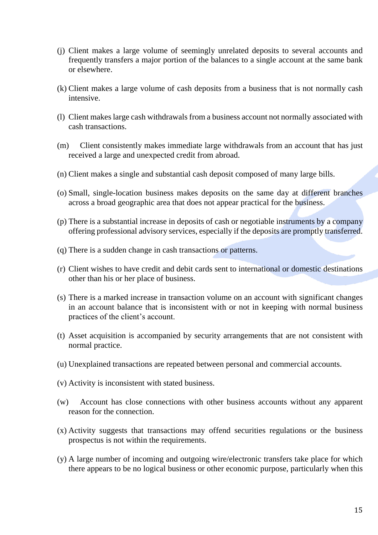- (j) Client makes a large volume of seemingly unrelated deposits to several accounts and frequently transfers a major portion of the balances to a single account at the same bank or elsewhere.
- (k) Client makes a large volume of cash deposits from a business that is not normally cash intensive.
- (l) Client makes large cash withdrawals from a business account not normally associated with cash transactions.
- (m) Client consistently makes immediate large withdrawals from an account that has just received a large and unexpected credit from abroad.
- (n) Client makes a single and substantial cash deposit composed of many large bills.
- (o) Small, single-location business makes deposits on the same day at different branches across a broad geographic area that does not appear practical for the business.
- (p) There is a substantial increase in deposits of cash or negotiable instruments by a company offering professional advisory services, especially if the deposits are promptly transferred.
- (q) There is a sudden change in cash transactions or patterns.
- (r) Client wishes to have credit and debit cards sent to international or domestic destinations other than his or her place of business.
- (s) There is a marked increase in transaction volume on an account with significant changes in an account balance that is inconsistent with or not in keeping with normal business practices of the client's account.
- (t) Asset acquisition is accompanied by security arrangements that are not consistent with normal practice.
- (u) Unexplained transactions are repeated between personal and commercial accounts.
- (v) Activity is inconsistent with stated business.
- (w) Account has close connections with other business accounts without any apparent reason for the connection.
- (x) Activity suggests that transactions may offend securities regulations or the business prospectus is not within the requirements.
- (y) A large number of incoming and outgoing wire/electronic transfers take place for which there appears to be no logical business or other economic purpose, particularly when this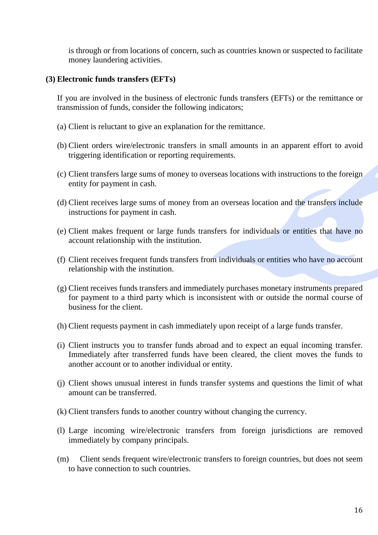is through or from locations of concern, such as countries known or suspected to facilitate money laundering activities.

## **(3) Electronic funds transfers (EFTs)**

If you are involved in the business of electronic funds transfers (EFTs) or the remittance or transmission of funds, consider the following indicators;

- (a) Client is reluctant to give an explanation for the remittance.
- (b) Client orders wire/electronic transfers in small amounts in an apparent effort to avoid triggering identification or reporting requirements.
- (c) Client transfers large sums of money to overseas locations with instructions to the foreign entity for payment in cash.
- (d) Client receives large sums of money from an overseas location and the transfers include instructions for payment in cash.
- (e) Client makes frequent or large funds transfers for individuals or entities that have no account relationship with the institution.
- (f) Client receives frequent funds transfers from individuals or entities who have no account relationship with the institution.
- (g) Client receives funds transfers and immediately purchases monetary instruments prepared for payment to a third party which is inconsistent with or outside the normal course of business for the client.
- (h) Client requests payment in cash immediately upon receipt of a large funds transfer.
- (i) Client instructs you to transfer funds abroad and to expect an equal incoming transfer. Immediately after transferred funds have been cleared, the client moves the funds to another account or to another individual or entity.
- (j) Client shows unusual interest in funds transfer systems and questions the limit of what amount can be transferred.
- (k) Client transfers funds to another country without changing the currency.
- (l) Large incoming wire/electronic transfers from foreign jurisdictions are removed immediately by company principals.
- (m) Client sends frequent wire/electronic transfers to foreign countries, but does not seem to have connection to such countries.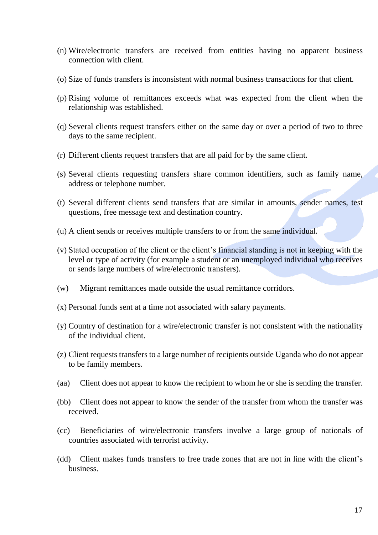- (n) Wire/electronic transfers are received from entities having no apparent business connection with client.
- (o) Size of funds transfers is inconsistent with normal business transactions for that client.
- (p) Rising volume of remittances exceeds what was expected from the client when the relationship was established.
- (q) Several clients request transfers either on the same day or over a period of two to three days to the same recipient.
- (r) Different clients request transfers that are all paid for by the same client.
- (s) Several clients requesting transfers share common identifiers, such as family name, address or telephone number.
- (t) Several different clients send transfers that are similar in amounts, sender names, test questions, free message text and destination country.
- (u) A client sends or receives multiple transfers to or from the same individual.
- (v) Stated occupation of the client or the client's financial standing is not in keeping with the level or type of activity (for example a student or an unemployed individual who receives or sends large numbers of wire/electronic transfers).
- (w) Migrant remittances made outside the usual remittance corridors.
- (x) Personal funds sent at a time not associated with salary payments.
- (y) Country of destination for a wire/electronic transfer is not consistent with the nationality of the individual client.
- (z) Client requests transfers to a large number of recipients outside Uganda who do not appear to be family members.
- (aa) Client does not appear to know the recipient to whom he or she is sending the transfer.
- (bb) Client does not appear to know the sender of the transfer from whom the transfer was received.
- (cc) Beneficiaries of wire/electronic transfers involve a large group of nationals of countries associated with terrorist activity.
- (dd) Client makes funds transfers to free trade zones that are not in line with the client's business.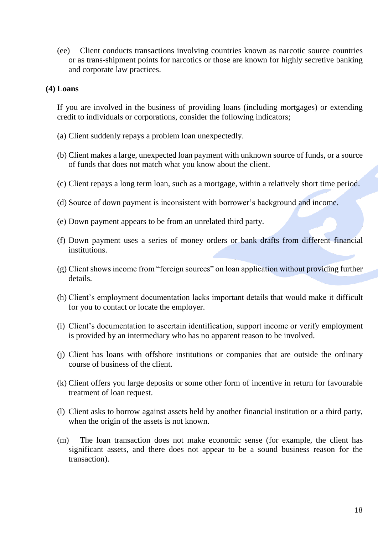(ee) Client conducts transactions involving countries known as narcotic source countries or as trans-shipment points for narcotics or those are known for highly secretive banking and corporate law practices.

#### **(4) Loans**

If you are involved in the business of providing loans (including mortgages) or extending credit to individuals or corporations, consider the following indicators;

- (a) Client suddenly repays a problem loan unexpectedly.
- (b) Client makes a large, unexpected loan payment with unknown source of funds, or a source of funds that does not match what you know about the client.
- (c) Client repays a long term loan, such as a mortgage, within a relatively short time period.
- (d) Source of down payment is inconsistent with borrower's background and income.
- (e) Down payment appears to be from an unrelated third party.
- (f) Down payment uses a series of money orders or bank drafts from different financial institutions.
- (g) Client shows income from "foreign sources" on loan application without providing further details.
- (h) Client's employment documentation lacks important details that would make it difficult for you to contact or locate the employer.
- (i) Client's documentation to ascertain identification, support income or verify employment is provided by an intermediary who has no apparent reason to be involved.
- (j) Client has loans with offshore institutions or companies that are outside the ordinary course of business of the client.
- (k) Client offers you large deposits or some other form of incentive in return for favourable treatment of loan request.
- (l) Client asks to borrow against assets held by another financial institution or a third party, when the origin of the assets is not known.
- (m) The loan transaction does not make economic sense (for example, the client has significant assets, and there does not appear to be a sound business reason for the transaction).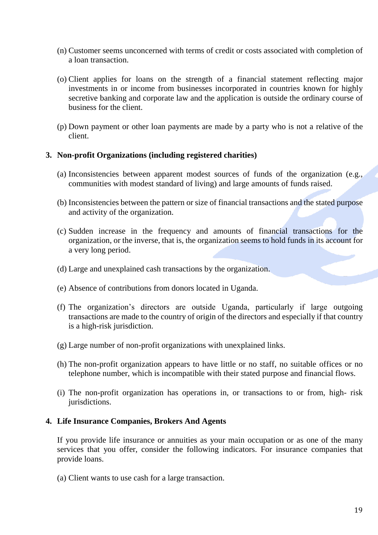- (n) Customer seems unconcerned with terms of credit or costs associated with completion of a loan transaction.
- (o) Client applies for loans on the strength of a financial statement reflecting major investments in or income from businesses incorporated in countries known for highly secretive banking and corporate law and the application is outside the ordinary course of business for the client.
- (p) Down payment or other loan payments are made by a party who is not a relative of the client.

## **3. Non-profit Organizations (including registered charities)**

- (a) Inconsistencies between apparent modest sources of funds of the organization (e.g., communities with modest standard of living) and large amounts of funds raised.
- (b) Inconsistencies between the pattern or size of financial transactions and the stated purpose and activity of the organization.
- (c) Sudden increase in the frequency and amounts of financial transactions for the organization, or the inverse, that is, the organization seems to hold funds in its account for a very long period.
- (d) Large and unexplained cash transactions by the organization.
- (e) Absence of contributions from donors located in Uganda.
- (f) The organization's directors are outside Uganda, particularly if large outgoing transactions are made to the country of origin of the directors and especially if that country is a high-risk jurisdiction.
- (g) Large number of non-profit organizations with unexplained links.
- (h) The non-profit organization appears to have little or no staff, no suitable offices or no telephone number, which is incompatible with their stated purpose and financial flows.
- (i) The non-profit organization has operations in, or transactions to or from, high- risk jurisdictions.

## **4. Life Insurance Companies, Brokers And Agents**

If you provide life insurance or annuities as your main occupation or as one of the many services that you offer, consider the following indicators. For insurance companies that provide loans.

(a) Client wants to use cash for a large transaction.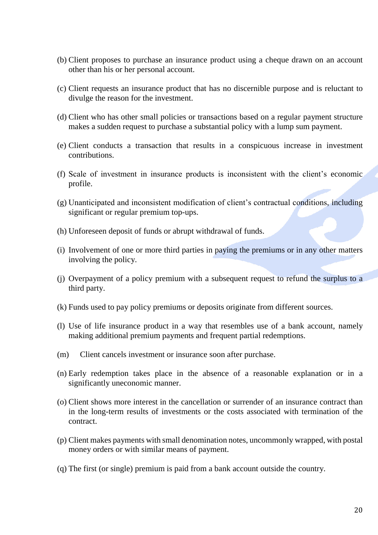- (b) Client proposes to purchase an insurance product using a cheque drawn on an account other than his or her personal account.
- (c) Client requests an insurance product that has no discernible purpose and is reluctant to divulge the reason for the investment.
- (d) Client who has other small policies or transactions based on a regular payment structure makes a sudden request to purchase a substantial policy with a lump sum payment.
- (e) Client conducts a transaction that results in a conspicuous increase in investment contributions.
- (f) Scale of investment in insurance products is inconsistent with the client's economic profile.
- (g) Unanticipated and inconsistent modification of client's contractual conditions, including significant or regular premium top-ups.
- (h) Unforeseen deposit of funds or abrupt withdrawal of funds.
- (i) Involvement of one or more third parties in paying the premiums or in any other matters involving the policy.
- (j) Overpayment of a policy premium with a subsequent request to refund the surplus to a third party.
- (k) Funds used to pay policy premiums or deposits originate from different sources.
- (l) Use of life insurance product in a way that resembles use of a bank account, namely making additional premium payments and frequent partial redemptions.
- (m) Client cancels investment or insurance soon after purchase.
- (n) Early redemption takes place in the absence of a reasonable explanation or in a significantly uneconomic manner.
- (o) Client shows more interest in the cancellation or surrender of an insurance contract than in the long-term results of investments or the costs associated with termination of the contract.
- (p) Client makes payments with small denomination notes, uncommonly wrapped, with postal money orders or with similar means of payment.
- (q) The first (or single) premium is paid from a bank account outside the country.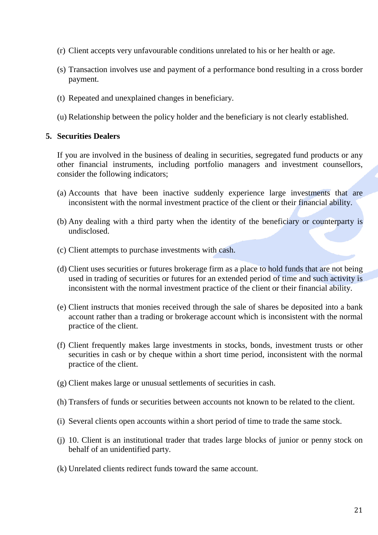- (r) Client accepts very unfavourable conditions unrelated to his or her health or age.
- (s) Transaction involves use and payment of a performance bond resulting in a cross border payment.
- (t) Repeated and unexplained changes in beneficiary.
- (u) Relationship between the policy holder and the beneficiary is not clearly established.

## **5. Securities Dealers**

If you are involved in the business of dealing in securities, segregated fund products or any other financial instruments, including portfolio managers and investment counsellors, consider the following indicators;

- (a) Accounts that have been inactive suddenly experience large investments that are inconsistent with the normal investment practice of the client or their financial ability.
- (b) Any dealing with a third party when the identity of the beneficiary or counterparty is undisclosed.
- (c) Client attempts to purchase investments with cash.
- (d) Client uses securities or futures brokerage firm as a place to hold funds that are not being used in trading of securities or futures for an extended period of time and such activity is inconsistent with the normal investment practice of the client or their financial ability.
- (e) Client instructs that monies received through the sale of shares be deposited into a bank account rather than a trading or brokerage account which is inconsistent with the normal practice of the client.
- (f) Client frequently makes large investments in stocks, bonds, investment trusts or other securities in cash or by cheque within a short time period, inconsistent with the normal practice of the client.
- (g) Client makes large or unusual settlements of securities in cash.
- (h) Transfers of funds or securities between accounts not known to be related to the client.
- (i) Several clients open accounts within a short period of time to trade the same stock.
- (j) 10. Client is an institutional trader that trades large blocks of junior or penny stock on behalf of an unidentified party.
- (k) Unrelated clients redirect funds toward the same account.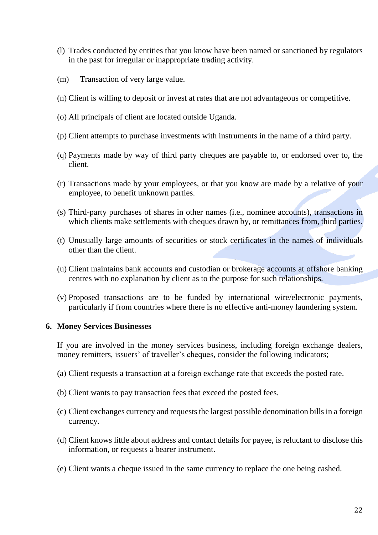- (l) Trades conducted by entities that you know have been named or sanctioned by regulators in the past for irregular or inappropriate trading activity.
- (m) Transaction of very large value.
- (n) Client is willing to deposit or invest at rates that are not advantageous or competitive.
- (o) All principals of client are located outside Uganda.
- (p) Client attempts to purchase investments with instruments in the name of a third party.
- (q) Payments made by way of third party cheques are payable to, or endorsed over to, the client.
- (r) Transactions made by your employees, or that you know are made by a relative of your employee, to benefit unknown parties.
- (s) Third-party purchases of shares in other names (i.e., nominee accounts), transactions in which clients make settlements with cheques drawn by, or remittances from, third parties.
- (t) Unusually large amounts of securities or stock certificates in the names of individuals other than the client.
- (u) Client maintains bank accounts and custodian or brokerage accounts at offshore banking centres with no explanation by client as to the purpose for such relationships.
- (v) Proposed transactions are to be funded by international wire/electronic payments, particularly if from countries where there is no effective anti-money laundering system.

#### **6. Money Services Businesses**

If you are involved in the money services business, including foreign exchange dealers, money remitters, issuers' of traveller's cheques, consider the following indicators;

- (a) Client requests a transaction at a foreign exchange rate that exceeds the posted rate.
- (b) Client wants to pay transaction fees that exceed the posted fees.
- (c) Client exchanges currency and requests the largest possible denomination bills in a foreign currency.
- (d) Client knows little about address and contact details for payee, is reluctant to disclose this information, or requests a bearer instrument.
- (e) Client wants a cheque issued in the same currency to replace the one being cashed.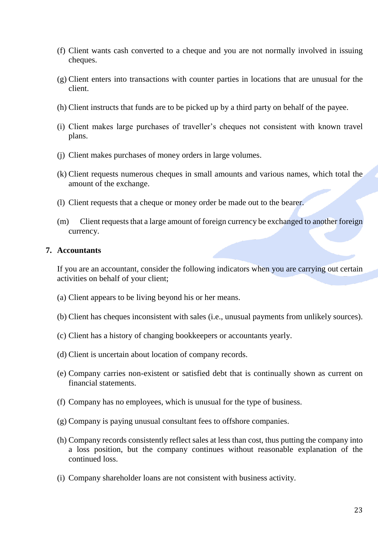- (f) Client wants cash converted to a cheque and you are not normally involved in issuing cheques.
- (g) Client enters into transactions with counter parties in locations that are unusual for the client.
- (h) Client instructs that funds are to be picked up by a third party on behalf of the payee.
- (i) Client makes large purchases of traveller's cheques not consistent with known travel plans.
- (j) Client makes purchases of money orders in large volumes.
- (k) Client requests numerous cheques in small amounts and various names, which total the amount of the exchange.
- (l) Client requests that a cheque or money order be made out to the bearer.
- (m) Client requests that a large amount of foreign currency be exchanged to another foreign currency.

#### **7. Accountants**

If you are an accountant, consider the following indicators when you are carrying out certain activities on behalf of your client;

- (a) Client appears to be living beyond his or her means.
- (b) Client has cheques inconsistent with sales (i.e., unusual payments from unlikely sources).
- (c) Client has a history of changing bookkeepers or accountants yearly.
- (d) Client is uncertain about location of company records.
- (e) Company carries non-existent or satisfied debt that is continually shown as current on financial statements.
- (f) Company has no employees, which is unusual for the type of business.
- (g) Company is paying unusual consultant fees to offshore companies.
- (h) Company records consistently reflect sales at less than cost, thus putting the company into a loss position, but the company continues without reasonable explanation of the continued loss.
- (i) Company shareholder loans are not consistent with business activity.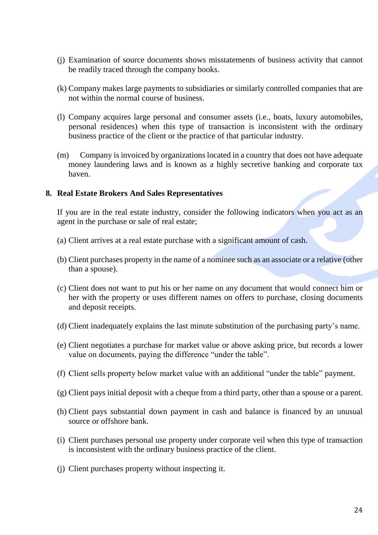- (j) Examination of source documents shows misstatements of business activity that cannot be readily traced through the company books.
- (k) Company makes large payments to subsidiaries or similarly controlled companies that are not within the normal course of business.
- (l) Company acquires large personal and consumer assets (i.e., boats, luxury automobiles, personal residences) when this type of transaction is inconsistent with the ordinary business practice of the client or the practice of that particular industry.
- (m) Company is invoiced by organizations located in a country that does not have adequate money laundering laws and is known as a highly secretive banking and corporate tax haven.

## **8. Real Estate Brokers And Sales Representatives**

If you are in the real estate industry, consider the following indicators when you act as an agent in the purchase or sale of real estate;

- (a) Client arrives at a real estate purchase with a significant amount of cash.
- (b) Client purchases property in the name of a nominee such as an associate or a relative (other than a spouse).
- (c) Client does not want to put his or her name on any document that would connect him or her with the property or uses different names on offers to purchase, closing documents and deposit receipts.
- (d) Client inadequately explains the last minute substitution of the purchasing party's name.
- (e) Client negotiates a purchase for market value or above asking price, but records a lower value on documents, paying the difference "under the table".
- (f) Client sells property below market value with an additional "under the table" payment.
- (g) Client pays initial deposit with a cheque from a third party, other than a spouse or a parent.
- (h) Client pays substantial down payment in cash and balance is financed by an unusual source or offshore bank.
- (i) Client purchases personal use property under corporate veil when this type of transaction is inconsistent with the ordinary business practice of the client.
- (j) Client purchases property without inspecting it.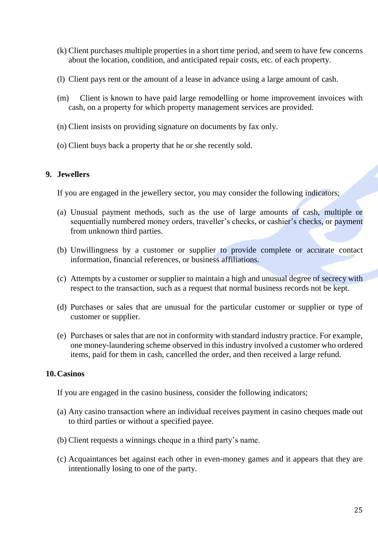- (k) Client purchases multiple properties in a short time period, and seem to have few concerns about the location, condition, and anticipated repair costs, etc. of each property.
- (l) Client pays rent or the amount of a lease in advance using a large amount of cash.
- (m) Client is known to have paid large remodelling or home improvement invoices with cash, on a property for which property management services are provided.
- (n) Client insists on providing signature on documents by fax only.
- (o) Client buys back a property that he or she recently sold.

## **9. Jewellers**

If you are engaged in the jewellery sector, you may consider the following indicators;

- (a) Unusual payment methods, such as the use of large amounts of cash, multiple or sequentially numbered money orders, traveller's checks, or cashier's checks, or payment from unknown third parties.
- (b) Unwillingness by a customer or supplier to provide complete or accurate contact information, financial references, or business affiliations.
- (c) Attempts by a customer or supplier to maintain a high and unusual degree of secrecy with respect to the transaction, such as a request that normal business records not be kept.
- (d) Purchases or sales that are unusual for the particular customer or supplier or type of customer or supplier.
- (e) Purchases or sales that are not in conformity with standard industry practice. For example, one money-laundering scheme observed in this industry involved a customer who ordered items, paid for them in cash, cancelled the order, and then received a large refund.

## **10.Casinos**

If you are engaged in the casino business, consider the following indicators;

- (a) Any casino transaction where an individual receives payment in casino cheques made out to third parties or without a specified payee.
- (b) Client requests a winnings cheque in a third party's name.
- (c) Acquaintances bet against each other in even-money games and it appears that they are intentionally losing to one of the party.